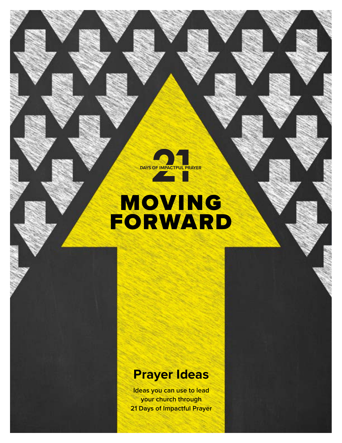

# MOVING FORWARD

# **Prayer Ideas**

**Ideas you can use to lead your church through 21 Days of Impactful Prayer**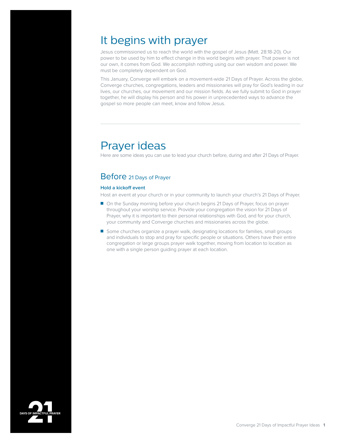## It begins with prayer

Jesus commissioned us to reach the world with the gospel of Jesus (Matt. 28:18-20). Our power to be used by him to effect change in this world begins with prayer. That power is not our own, it comes from God. We accomplish nothing using our own wisdom and power. We must be completely dependent on God.

This January, Converge will embark on a movement-wide 21 Days of Prayer. Across the globe, Converge churches, congregations, leaders and missionaries will pray for God's leading in our lives, our churches, our movement and our mission fields. As we fully submit to God in prayer together, he will display his person and his power in unprecedented ways to advance the gospel so more people can meet, know and follow Jesus.

# Prayer ideas

Here are some ideas you can use to lead your church before, during and after 21 Days of Prayer.

### Before 21 Days of Prayer

#### **Hold a kickoff event**

Host an event at your church or in your community to launch your church's 21 Days of Prayer.

- On the Sunday morning before your church begins 21 Days of Prayer, focus on prayer throughout your worship service. Provide your congregation the vision for 21 Days of Prayer, why it is important to their personal relationships with God, and for your church, your community and Converge churches and missionaries across the globe.
- Some churches organize a prayer walk, designating locations for families, small groups and individuals to stop and pray for specific people or situations. Others have their entire congregation or large groups prayer walk together, moving from location to location as one with a single person guiding prayer at each location.

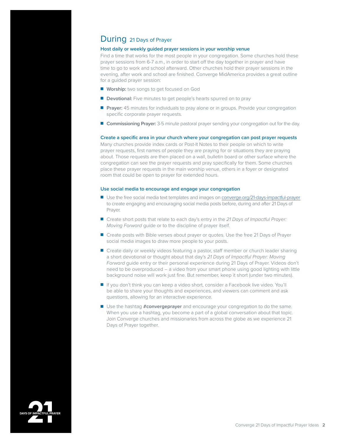### During 21 Days of Prayer

#### **Host daily or weekly guided prayer sessions in your worship venue**

Find a time that works for the most people in your congregation. Some churches hold these prayer sessions from 6-7 a.m., in order to start off the day together in prayer and have time to go to work and school afterward. Other churches hold their prayer sessions in the evening, after work and school are finished. Converge MidAmerica provides a great outline for a guided prayer session:

- **Worship:** two songs to get focused on God
- **Devotional:** Five minutes to get people's hearts spurred on to pray
- **Prayer:** 45 minutes for individuals to pray alone or in groups. Provide your congregation specific corporate prayer requests.
- **Commissioning Prayer:** 3-5 minute pastoral prayer sending your congregation out for the day.

#### **Create a specific area in your church where your congregation can post prayer requests**

Many churches provide index cards or Post-It Notes to their people on which to write prayer requests, first names of people they are praying for or situations they are praying about. Those requests are then placed on a wall, bulletin board or other surface where the congregation can see the prayer requests and pray specifically for them. Some churches place these prayer requests in the main worship venue, others in a foyer or designated room that could be open to prayer for extended hours.

#### **Use social media to encourage and engage your congregation**

- Use the free social media text templates and images on [converge.org/21-days-impactful-prayer](https://converge.org/21-days-impactful-prayer) to create engaging and encouraging social media posts before, during and after 21 Days of Prayer.
- Create short posts that relate to each day's entry in the 21 Days of Impactful Prayer: *Moving Forward* guide or to the discipline of prayer itself.
- Create posts with Bible verses about prayer or quotes. Use the free 21 Days of Prayer social media images to draw more people to your posts.
- Create daily or weekly videos featuring a pastor, staff member or church leader sharing a short devotional or thought about that day's *21 Days of Impactful Prayer: Moving Forward* guide entry or their personal experience during 21 Days of Prayer. Videos don't need to be overproduced – a video from your smart phone using good lighting with little background noise will work just fine. But remember, keep it short (under two minutes).
- If you don't think you can keep a video short, consider a Facebook live video. You'll be able to share your thoughts and experiences, and viewers can comment and ask questions, allowing for an interactive experience.
- Use the hashtag **#convergeprayer** and encourage your congregation to do the same. When you use a hashtag, you become a part of a global conversation about that topic. Join Converge churches and missionaries from across the globe as we experience 21 Days of Prayer together.